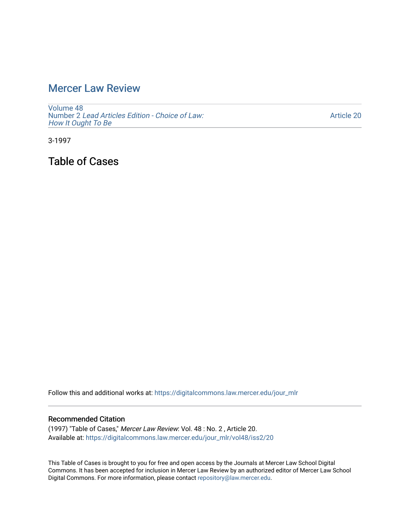## [Mercer Law Review](https://digitalcommons.law.mercer.edu/jour_mlr)

[Volume 48](https://digitalcommons.law.mercer.edu/jour_mlr/vol48) Number 2 [Lead Articles Edition - Choice of Law:](https://digitalcommons.law.mercer.edu/jour_mlr/vol48/iss2)  [How It Ought To Be](https://digitalcommons.law.mercer.edu/jour_mlr/vol48/iss2)

[Article 20](https://digitalcommons.law.mercer.edu/jour_mlr/vol48/iss2/20) 

3-1997

Table of Cases

Follow this and additional works at: [https://digitalcommons.law.mercer.edu/jour\\_mlr](https://digitalcommons.law.mercer.edu/jour_mlr?utm_source=digitalcommons.law.mercer.edu%2Fjour_mlr%2Fvol48%2Fiss2%2F20&utm_medium=PDF&utm_campaign=PDFCoverPages)

## Recommended Citation

(1997) "Table of Cases," Mercer Law Review: Vol. 48 : No. 2 , Article 20. Available at: [https://digitalcommons.law.mercer.edu/jour\\_mlr/vol48/iss2/20](https://digitalcommons.law.mercer.edu/jour_mlr/vol48/iss2/20?utm_source=digitalcommons.law.mercer.edu%2Fjour_mlr%2Fvol48%2Fiss2%2F20&utm_medium=PDF&utm_campaign=PDFCoverPages) 

This Table of Cases is brought to you for free and open access by the Journals at Mercer Law School Digital Commons. It has been accepted for inclusion in Mercer Law Review by an authorized editor of Mercer Law School Digital Commons. For more information, please contact [repository@law.mercer.edu](mailto:repository@law.mercer.edu).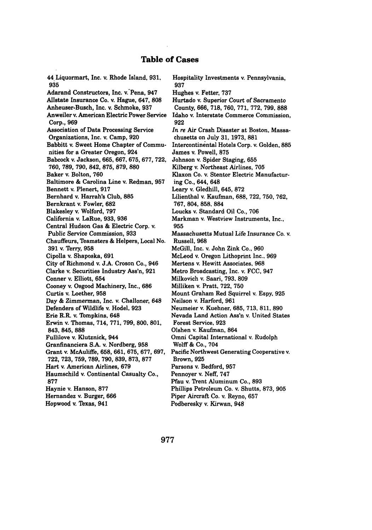## **Table of Cases**

44.Liquormart, Inc. v. Rhode Island, **931, 935** Adarand Constructors, Inc. v.'Pena, 947 Allstate Insurance Co. v. Hague, 647, **808** Anheuser-Busch, Inc. v. Schmoke, **937** Anweiler v. American Electric Power Service Corp., **969** Association of Data Processing Service Organizations, Inc. **v.** Camp, **920** Babbitt **v.** Sweet Home Chapter of Communities for a Greater Oregon, 924 Babcock **v.** Jackson, **665, 667, 675, 677, 722, 760, 789, 790,** 842, **875, 879, 880** Baker v. Bolton, **760** Baltimore **&** Carolina Line **v.** Redman, **957** Bennett v. Plenert, **917** Bernhard v. Harrah's Club, **885** Bernkrant v. Fowler, **682** Blakesley v. Wolford, **797** California **v.** LaRue, **933, 936** Central Hudson Gas **&** Electric Corp. v. Public Service Commission, **933** Chauffeurs, Teamsters **&** Helpers, Local No. **391** v. Terry, **958** Cipolla v. Shaposka, **691** City of Richmond v. **J.A.** Croson Co., 946 Clarke v. Securities Industry Ass'n, **921** Conner v. Elliott, 654 Cooney v. Osgood Machinery, Inc., **686** Curtis v. Loether, **958** Day **&** Zimmerman, Inc. v. Challoner, 648 Defenders of Wildlife v. Hodel, **923** Erie R.R. v. Tompkins, 648 Erwin v. Thomas, 714, **771, 799, 800, 801, 843, 845, 888** Fullilove v. Klutznick, 944 Granfinanciera **S.A.** v. Nordberg, **958** Grant **v** McAuliffe, **658, 661, 675, 677, 697, 722, 723, 759, 789, 790, 839, 873, 877** Hart v. American Airlines, **679** Haumschild v. Continental Casualty Co., **877** Haynie v. Hanson, **877** Hernandez v. Burger, **666** Hopwood v. Texas, 941

Hospitality Investments v. Pennsylvania, **937** Hughes v. Fetter, **737** Hurtado v. Superior Court of Sacramento County, **666,** 718, 760, 771, 772, **799, 888** Idaho v. Interstate Commerce Commission, **922** *In re* Air Crash Disaster at Boston, Massachusetts on July **31, 1973, 881** Intercontinental Hotels Corp. v. Golden, **885** James v. Powell, **875** Johnson v. Spider Staging, **655** Kilberg v. Northeast Airlines, **705** Klaxon Co. v. Stentor Electric Manufacturing Co., 644, 648 Leary v. Gledhill, 645, **872** Lilienthal v. Kaufman, **688, 722,** 750, **762,** 767, **804, 858. 884** Loucks v. Standard Oil Co., **706** Markman v. Westview Instruments, Inc., **955** Massachusetts Mutual Life Insurance Co. v. Russell, **968** McGill, Inc. v. John Zink Co., **960** McLeod **v.** Oregon Lithoprint Inc., **969** Mertens v. Hewitt Associates, **968** Metro Broadcasting, Inc. v. FCC, 947 Milkovich v. Saari, **793. 809** Milliken v. Pratt, **722, 750** Mount Graham Red Squirrel v. Espy, **925** Neilson v. Harford, **961** Neumeier v. Kuehner, **685, 713, 811, 890** Nevada Land Action Ass'n v. United States Forest Service, **923** Olshen v. Kaufman, 864 Omni Capital International v. Rudolph Wolff & Co., 704 Pacific Northwest Generating Cooperative v. Brown, **925** Parsons v. Bedford, **957** Pennoyer v. Neff, **747** Pfau v. Trent Aluminum Co., **893** Phillips Petroleum Co. **v.** Shutts, 873, **905** Piper Aircraft Co. v. Reyno, **657**

Podberesky v. Kirwan, 948